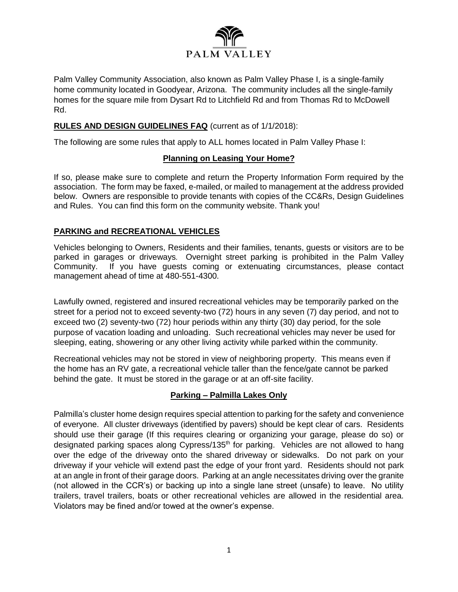

Palm Valley Community Association, also known as Palm Valley Phase I, is a single-family home community located in Goodyear, Arizona. The community includes all the single-family homes for the square mile from Dysart Rd to Litchfield Rd and from Thomas Rd to McDowell Rd.

### **RULES AND DESIGN GUIDELINES FAQ** (current as of 1/1/2018):

The following are some rules that apply to ALL homes located in Palm Valley Phase I:

#### **Planning on Leasing Your Home?**

If so, please make sure to complete and return the Property Information Form required by the association. The form may be faxed, e-mailed, or mailed to management at the address provided below. Owners are responsible to provide tenants with copies of the CC&Rs, Design Guidelines and Rules. You can find this form on the community website. Thank you!

### **PARKING and RECREATIONAL VEHICLES**

Vehicles belonging to Owners, Residents and their families, tenants, guests or visitors are to be parked in garages or driveways*.* Overnight street parking is prohibited in the Palm Valley Community. If you have guests coming or extenuating circumstances, please contact management ahead of time at 480-551-4300.

Lawfully owned, registered and insured recreational vehicles may be temporarily parked on the street for a period not to exceed seventy-two (72) hours in any seven (7) day period, and not to exceed two (2) seventy-two (72) hour periods within any thirty (30) day period, for the sole purpose of vacation loading and unloading. Such recreational vehicles may never be used for sleeping, eating, showering or any other living activity while parked within the community.

Recreational vehicles may not be stored in view of neighboring property. This means even if the home has an RV gate, a recreational vehicle taller than the fence/gate cannot be parked behind the gate. It must be stored in the garage or at an off-site facility.

#### **Parking – Palmilla Lakes Only**

Palmilla's cluster home design requires special attention to parking for the safety and convenience of everyone. All cluster driveways (identified by pavers) should be kept clear of cars. Residents should use their garage (If this requires clearing or organizing your garage, please do so) or designated parking spaces along Cypress/135<sup>th</sup> for parking. Vehicles are not allowed to hang over the edge of the driveway onto the shared driveway or sidewalks. Do not park on your driveway if your vehicle will extend past the edge of your front yard. Residents should not park at an angle in front of their garage doors. Parking at an angle necessitates driving over the granite (not allowed in the CCR's) or backing up into a single lane street (unsafe) to leave. No utility trailers, travel trailers, boats or other recreational vehicles are allowed in the residential area. Violators may be fined and/or towed at the owner's expense.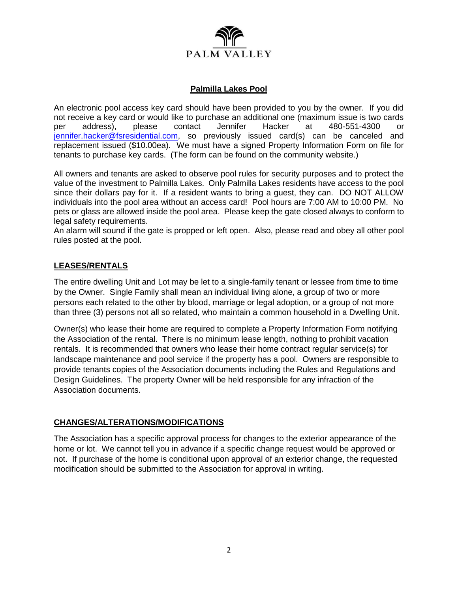

# **Palmilla Lakes Pool**

An electronic pool access key card should have been provided to you by the owner. If you did not receive a key card or would like to purchase an additional one (maximum issue is two cards per address), please contact Jennifer Hacker at 480-551-4300 or [jennifer.hacker@fsresidential.com,](mailto:jennifer.hacker@fsresidential.com) so previously issued card(s) can be canceled and replacement issued (\$10.00ea). We must have a signed Property Information Form on file for tenants to purchase key cards. (The form can be found on the community website.)

All owners and tenants are asked to observe pool rules for security purposes and to protect the value of the investment to Palmilla Lakes. Only Palmilla Lakes residents have access to the pool since their dollars pay for it. If a resident wants to bring a guest, they can. DO NOT ALLOW individuals into the pool area without an access card! Pool hours are 7:00 AM to 10:00 PM. No pets or glass are allowed inside the pool area. Please keep the gate closed always to conform to legal safety requirements.

An alarm will sound if the gate is propped or left open. Also, please read and obey all other pool rules posted at the pool.

## **LEASES/RENTALS**

The entire dwelling Unit and Lot may be let to a single-family tenant or lessee from time to time by the Owner. Single Family shall mean an individual living alone, a group of two or more persons each related to the other by blood, marriage or legal adoption, or a group of not more than three (3) persons not all so related, who maintain a common household in a Dwelling Unit.

Owner(s) who lease their home are required to complete a Property Information Form notifying the Association of the rental. There is no minimum lease length, nothing to prohibit vacation rentals. It is recommended that owners who lease their home contract regular service(s) for landscape maintenance and pool service if the property has a pool. Owners are responsible to provide tenants copies of the Association documents including the Rules and Regulations and Design Guidelines. The property Owner will be held responsible for any infraction of the Association documents.

## **CHANGES/ALTERATIONS/MODIFICATIONS**

The Association has a specific approval process for changes to the exterior appearance of the home or lot. We cannot tell you in advance if a specific change request would be approved or not. If purchase of the home is conditional upon approval of an exterior change, the requested modification should be submitted to the Association for approval in writing.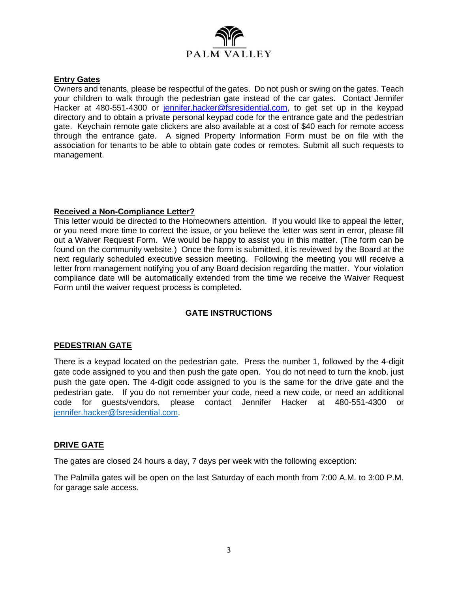

# **Entry Gates**

Owners and tenants, please be respectful of the gates. Do not push or swing on the gates. Teach your children to walk through the pedestrian gate instead of the car gates. Contact Jennifer Hacker at 480-551-4300 or [jennifer.hacker@fsresidential.com,](mailto:jennifer.hacker@fsresidential.com) to get set up in the keypad directory and to obtain a private personal keypad code for the entrance gate and the pedestrian gate. Keychain remote gate clickers are also available at a cost of \$40 each for remote access through the entrance gate. A signed Property Information Form must be on file with the association for tenants to be able to obtain gate codes or remotes. Submit all such requests to management.

### **Received a Non-Compliance Letter?**

This letter would be directed to the Homeowners attention. If you would like to appeal the letter, or you need more time to correct the issue, or you believe the letter was sent in error, please fill out a Waiver Request Form. We would be happy to assist you in this matter. (The form can be found on the community website.) Once the form is submitted, it is reviewed by the Board at the next regularly scheduled executive session meeting. Following the meeting you will receive a letter from management notifying you of any Board decision regarding the matter. Your violation compliance date will be automatically extended from the time we receive the Waiver Request Form until the waiver request process is completed.

## **GATE INSTRUCTIONS**

## **PEDESTRIAN GATE**

There is a keypad located on the pedestrian gate. Press the number 1, followed by the 4-digit gate code assigned to you and then push the gate open. You do not need to turn the knob, just push the gate open. The 4-digit code assigned to you is the same for the drive gate and the pedestrian gate. If you do not remember your code, need a new code, or need an additional code for guests/vendors, please contact Jennifer Hacker at 480-551-4300 or [jennifer.hacker@fsresidential.com.](mailto:jennifer.hacker@fsresidential.com)

#### **DRIVE GATE**

The gates are closed 24 hours a day, 7 days per week with the following exception:

The Palmilla gates will be open on the last Saturday of each month from 7:00 A.M. to 3:00 P.M. for garage sale access.